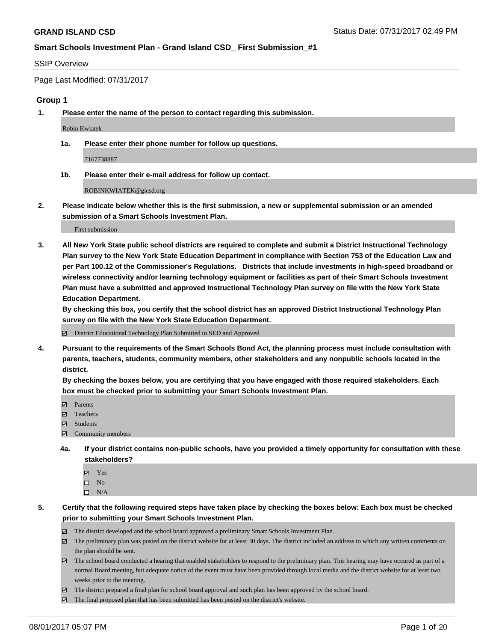#### SSIP Overview

Page Last Modified: 07/31/2017

## **Group 1**

**1. Please enter the name of the person to contact regarding this submission.**

Robin Kwiatek

**1a. Please enter their phone number for follow up questions.**

7167738887

**1b. Please enter their e-mail address for follow up contact.**

ROBINKWIATEK@gicsd.org

**2. Please indicate below whether this is the first submission, a new or supplemental submission or an amended submission of a Smart Schools Investment Plan.**

First submission

**3. All New York State public school districts are required to complete and submit a District Instructional Technology Plan survey to the New York State Education Department in compliance with Section 753 of the Education Law and per Part 100.12 of the Commissioner's Regulations. Districts that include investments in high-speed broadband or wireless connectivity and/or learning technology equipment or facilities as part of their Smart Schools Investment Plan must have a submitted and approved Instructional Technology Plan survey on file with the New York State Education Department.** 

**By checking this box, you certify that the school district has an approved District Instructional Technology Plan survey on file with the New York State Education Department.**

District Educational Technology Plan Submitted to SED and Approved

**4. Pursuant to the requirements of the Smart Schools Bond Act, the planning process must include consultation with parents, teachers, students, community members, other stakeholders and any nonpublic schools located in the district.** 

**By checking the boxes below, you are certifying that you have engaged with those required stakeholders. Each box must be checked prior to submitting your Smart Schools Investment Plan.**

- **マ** Parents
- □ Teachers
- Students
- $\Xi$  Community members
- **4a. If your district contains non-public schools, have you provided a timely opportunity for consultation with these stakeholders?**
	- Yes
	- $\hfill \square$  No
	- $\square$  N/A
- **5. Certify that the following required steps have taken place by checking the boxes below: Each box must be checked prior to submitting your Smart Schools Investment Plan.**
	- The district developed and the school board approved a preliminary Smart Schools Investment Plan.
	- $\boxtimes$  The preliminary plan was posted on the district website for at least 30 days. The district included an address to which any written comments on the plan should be sent.
	- $\boxtimes$  The school board conducted a hearing that enabled stakeholders to respond to the preliminary plan. This hearing may have occured as part of a normal Board meeting, but adequate notice of the event must have been provided through local media and the district website for at least two weeks prior to the meeting.
	- The district prepared a final plan for school board approval and such plan has been approved by the school board.
	- $\boxtimes$  The final proposed plan that has been submitted has been posted on the district's website.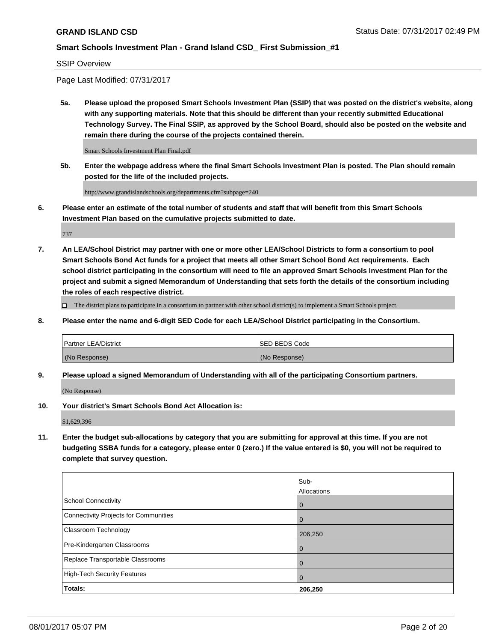#### SSIP Overview

Page Last Modified: 07/31/2017

**5a. Please upload the proposed Smart Schools Investment Plan (SSIP) that was posted on the district's website, along with any supporting materials. Note that this should be different than your recently submitted Educational Technology Survey. The Final SSIP, as approved by the School Board, should also be posted on the website and remain there during the course of the projects contained therein.**

Smart Schools Investment Plan Final.pdf

**5b. Enter the webpage address where the final Smart Schools Investment Plan is posted. The Plan should remain posted for the life of the included projects.**

http://www.grandislandschools.org/departments.cfm?subpage=240

**6. Please enter an estimate of the total number of students and staff that will benefit from this Smart Schools Investment Plan based on the cumulative projects submitted to date.**

737

**7. An LEA/School District may partner with one or more other LEA/School Districts to form a consortium to pool Smart Schools Bond Act funds for a project that meets all other Smart School Bond Act requirements. Each school district participating in the consortium will need to file an approved Smart Schools Investment Plan for the project and submit a signed Memorandum of Understanding that sets forth the details of the consortium including the roles of each respective district.**

 $\Box$  The district plans to participate in a consortium to partner with other school district(s) to implement a Smart Schools project.

**8. Please enter the name and 6-digit SED Code for each LEA/School District participating in the Consortium.**

| <b>Partner LEA/District</b> | <b>ISED BEDS Code</b> |
|-----------------------------|-----------------------|
| (No Response)               | (No Response)         |

**9. Please upload a signed Memorandum of Understanding with all of the participating Consortium partners.**

(No Response)

**10. Your district's Smart Schools Bond Act Allocation is:**

\$1,629,396

**11. Enter the budget sub-allocations by category that you are submitting for approval at this time. If you are not budgeting SSBA funds for a category, please enter 0 (zero.) If the value entered is \$0, you will not be required to complete that survey question.**

|                                              | Sub-        |
|----------------------------------------------|-------------|
|                                              | Allocations |
| <b>School Connectivity</b>                   | 0           |
| <b>Connectivity Projects for Communities</b> | 0           |
| <b>Classroom Technology</b>                  | 206,250     |
| Pre-Kindergarten Classrooms                  | 0           |
| Replace Transportable Classrooms             | 0           |
| <b>High-Tech Security Features</b>           | 0           |
| Totals:                                      | 206,250     |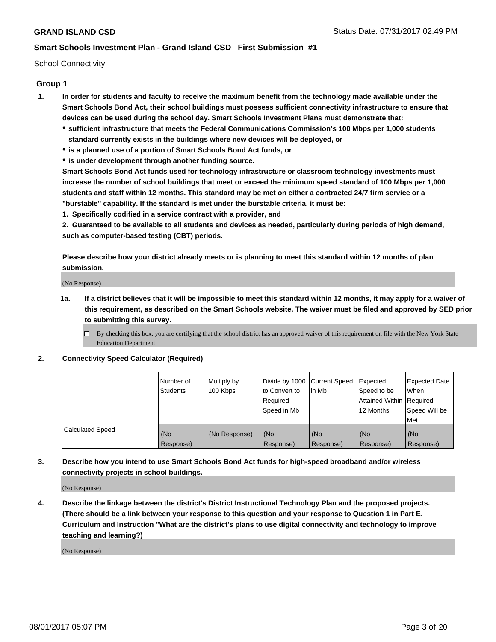#### School Connectivity

## **Group 1**

- **1. In order for students and faculty to receive the maximum benefit from the technology made available under the Smart Schools Bond Act, their school buildings must possess sufficient connectivity infrastructure to ensure that devices can be used during the school day. Smart Schools Investment Plans must demonstrate that:**
	- **sufficient infrastructure that meets the Federal Communications Commission's 100 Mbps per 1,000 students standard currently exists in the buildings where new devices will be deployed, or**
	- **is a planned use of a portion of Smart Schools Bond Act funds, or**
	- **is under development through another funding source.**

**Smart Schools Bond Act funds used for technology infrastructure or classroom technology investments must increase the number of school buildings that meet or exceed the minimum speed standard of 100 Mbps per 1,000 students and staff within 12 months. This standard may be met on either a contracted 24/7 firm service or a "burstable" capability. If the standard is met under the burstable criteria, it must be:**

**1. Specifically codified in a service contract with a provider, and**

**2. Guaranteed to be available to all students and devices as needed, particularly during periods of high demand, such as computer-based testing (CBT) periods.**

**Please describe how your district already meets or is planning to meet this standard within 12 months of plan submission.**

(No Response)

- **1a. If a district believes that it will be impossible to meet this standard within 12 months, it may apply for a waiver of this requirement, as described on the Smart Schools website. The waiver must be filed and approved by SED prior to submitting this survey.**
	- By checking this box, you are certifying that the school district has an approved waiver of this requirement on file with the New York State Education Department.

#### **2. Connectivity Speed Calculator (Required)**

|                         | I Number of<br><b>Students</b> | Multiply by<br>100 Kbps | Divide by 1000   Current Speed<br>to Convert to | lin Mb    | Expected<br>Speed to be  | <b>Expected Date</b><br>When |
|-------------------------|--------------------------------|-------------------------|-------------------------------------------------|-----------|--------------------------|------------------------------|
|                         |                                |                         | Required                                        |           | Attained Within Required |                              |
|                         |                                |                         | Speed in Mb                                     |           | 12 Months                | Speed Will be                |
|                         |                                |                         |                                                 |           |                          | Met                          |
| <b>Calculated Speed</b> | (No                            | (No Response)           | (No                                             | (No       | (No                      | (No                          |
|                         | Response)                      |                         | Response)                                       | Response) | Response)                | Response)                    |

**3. Describe how you intend to use Smart Schools Bond Act funds for high-speed broadband and/or wireless connectivity projects in school buildings.**

(No Response)

**4. Describe the linkage between the district's District Instructional Technology Plan and the proposed projects. (There should be a link between your response to this question and your response to Question 1 in Part E. Curriculum and Instruction "What are the district's plans to use digital connectivity and technology to improve teaching and learning?)**

(No Response)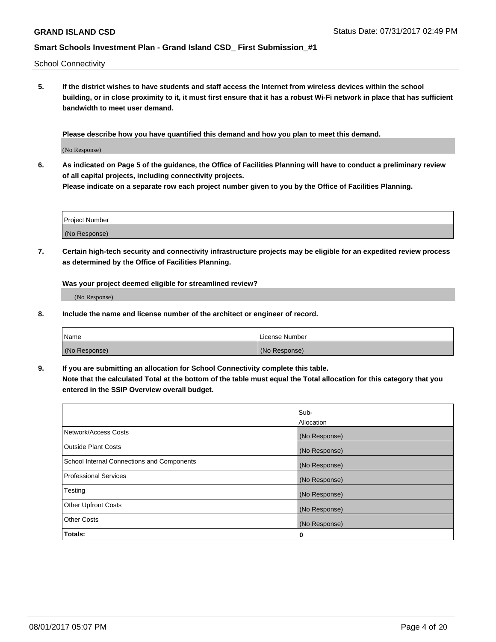School Connectivity

**5. If the district wishes to have students and staff access the Internet from wireless devices within the school building, or in close proximity to it, it must first ensure that it has a robust Wi-Fi network in place that has sufficient bandwidth to meet user demand.**

**Please describe how you have quantified this demand and how you plan to meet this demand.**

(No Response)

**6. As indicated on Page 5 of the guidance, the Office of Facilities Planning will have to conduct a preliminary review of all capital projects, including connectivity projects.**

**Please indicate on a separate row each project number given to you by the Office of Facilities Planning.**

| <b>Project Number</b> |  |
|-----------------------|--|
| (No Response)         |  |

**7. Certain high-tech security and connectivity infrastructure projects may be eligible for an expedited review process as determined by the Office of Facilities Planning.**

**Was your project deemed eligible for streamlined review?**

(No Response)

**8. Include the name and license number of the architect or engineer of record.**

| <b>Name</b>   | l License Number |
|---------------|------------------|
| (No Response) | (No Response)    |

**9. If you are submitting an allocation for School Connectivity complete this table. Note that the calculated Total at the bottom of the table must equal the Total allocation for this category that you entered in the SSIP Overview overall budget.** 

|                                                   | Sub-              |
|---------------------------------------------------|-------------------|
|                                                   | <b>Allocation</b> |
| Network/Access Costs                              | (No Response)     |
| Outside Plant Costs                               | (No Response)     |
| <b>School Internal Connections and Components</b> | (No Response)     |
| <b>Professional Services</b>                      | (No Response)     |
| Testing                                           | (No Response)     |
| <b>Other Upfront Costs</b>                        | (No Response)     |
| <b>Other Costs</b>                                | (No Response)     |
| Totals:                                           | 0                 |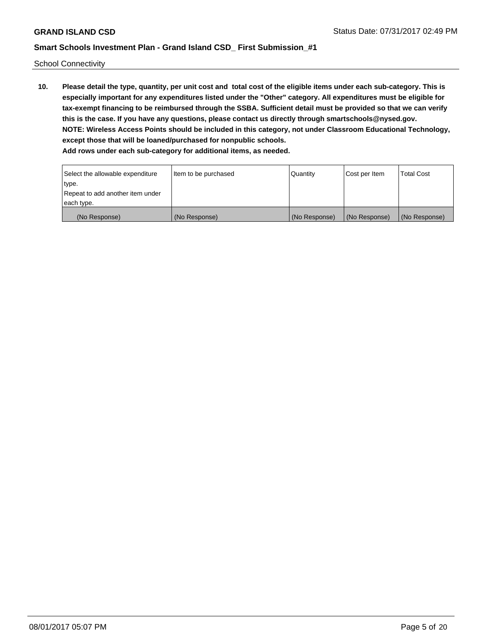School Connectivity

**10. Please detail the type, quantity, per unit cost and total cost of the eligible items under each sub-category. This is especially important for any expenditures listed under the "Other" category. All expenditures must be eligible for tax-exempt financing to be reimbursed through the SSBA. Sufficient detail must be provided so that we can verify this is the case. If you have any questions, please contact us directly through smartschools@nysed.gov. NOTE: Wireless Access Points should be included in this category, not under Classroom Educational Technology, except those that will be loaned/purchased for nonpublic schools. Add rows under each sub-category for additional items, as needed.**

| Select the allowable expenditure | Item to be purchased | Quantity      | Cost per Item | <b>Total Cost</b> |
|----------------------------------|----------------------|---------------|---------------|-------------------|
| type.                            |                      |               |               |                   |
| Repeat to add another item under |                      |               |               |                   |
| each type.                       |                      |               |               |                   |
| (No Response)                    | (No Response)        | (No Response) | (No Response) | (No Response)     |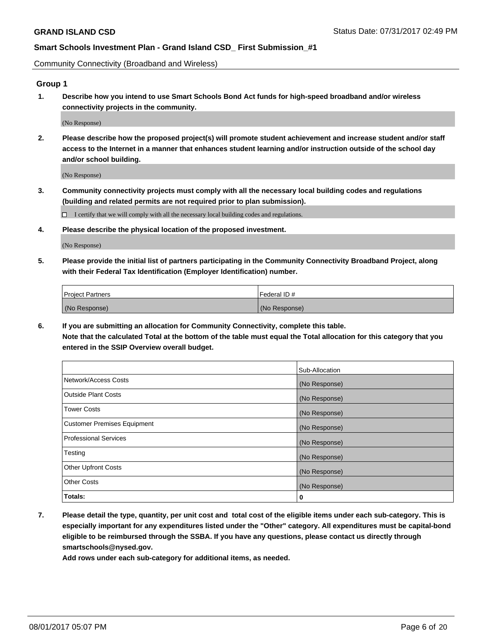Community Connectivity (Broadband and Wireless)

### **Group 1**

**1. Describe how you intend to use Smart Schools Bond Act funds for high-speed broadband and/or wireless connectivity projects in the community.**

(No Response)

**2. Please describe how the proposed project(s) will promote student achievement and increase student and/or staff access to the Internet in a manner that enhances student learning and/or instruction outside of the school day and/or school building.**

(No Response)

**3. Community connectivity projects must comply with all the necessary local building codes and regulations (building and related permits are not required prior to plan submission).**

 $\Box$  I certify that we will comply with all the necessary local building codes and regulations.

**4. Please describe the physical location of the proposed investment.**

(No Response)

**5. Please provide the initial list of partners participating in the Community Connectivity Broadband Project, along with their Federal Tax Identification (Employer Identification) number.**

| <b>Project Partners</b> | Federal ID#   |
|-------------------------|---------------|
| (No Response)           | (No Response) |

**6. If you are submitting an allocation for Community Connectivity, complete this table. Note that the calculated Total at the bottom of the table must equal the Total allocation for this category that you entered in the SSIP Overview overall budget.**

|                                    | Sub-Allocation |
|------------------------------------|----------------|
| Network/Access Costs               | (No Response)  |
| Outside Plant Costs                | (No Response)  |
| <b>Tower Costs</b>                 | (No Response)  |
| <b>Customer Premises Equipment</b> | (No Response)  |
| Professional Services              | (No Response)  |
| Testing                            | (No Response)  |
| <b>Other Upfront Costs</b>         | (No Response)  |
| <b>Other Costs</b>                 | (No Response)  |
| Totals:                            | 0              |

**7. Please detail the type, quantity, per unit cost and total cost of the eligible items under each sub-category. This is especially important for any expenditures listed under the "Other" category. All expenditures must be capital-bond eligible to be reimbursed through the SSBA. If you have any questions, please contact us directly through smartschools@nysed.gov.**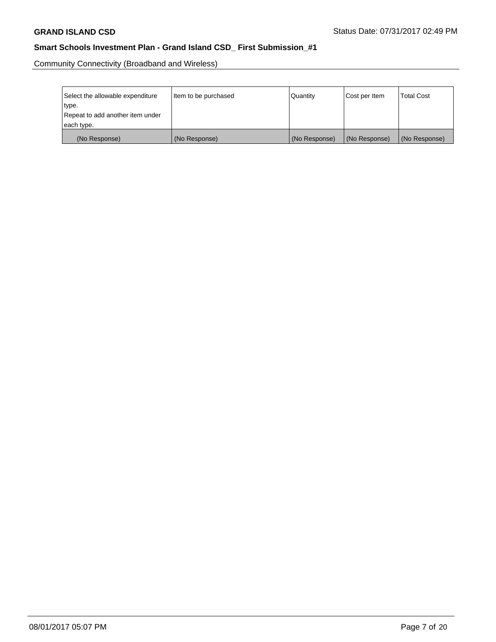Community Connectivity (Broadband and Wireless)

| Select the allowable expenditure | Item to be purchased | Quantity      | Cost per Item | <b>Total Cost</b> |
|----------------------------------|----------------------|---------------|---------------|-------------------|
| type.                            |                      |               |               |                   |
| Repeat to add another item under |                      |               |               |                   |
| each type.                       |                      |               |               |                   |
| (No Response)                    | (No Response)        | (No Response) | (No Response) | (No Response)     |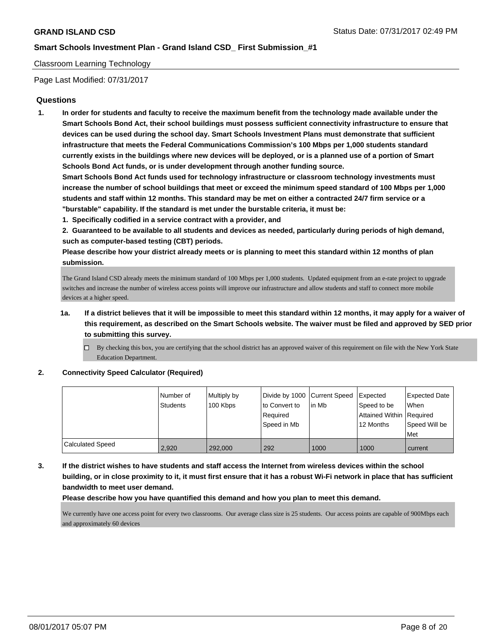### Classroom Learning Technology

Page Last Modified: 07/31/2017

## **Questions**

**1. In order for students and faculty to receive the maximum benefit from the technology made available under the Smart Schools Bond Act, their school buildings must possess sufficient connectivity infrastructure to ensure that devices can be used during the school day. Smart Schools Investment Plans must demonstrate that sufficient infrastructure that meets the Federal Communications Commission's 100 Mbps per 1,000 students standard currently exists in the buildings where new devices will be deployed, or is a planned use of a portion of Smart Schools Bond Act funds, or is under development through another funding source.**

**Smart Schools Bond Act funds used for technology infrastructure or classroom technology investments must increase the number of school buildings that meet or exceed the minimum speed standard of 100 Mbps per 1,000 students and staff within 12 months. This standard may be met on either a contracted 24/7 firm service or a "burstable" capability. If the standard is met under the burstable criteria, it must be:**

- **1. Specifically codified in a service contract with a provider, and**
- **2. Guaranteed to be available to all students and devices as needed, particularly during periods of high demand, such as computer-based testing (CBT) periods.**

**Please describe how your district already meets or is planning to meet this standard within 12 months of plan submission.**

The Grand Island CSD already meets the minimum standard of 100 Mbps per 1,000 students. Updated equipment from an e-rate project to upgrade switches and increase the number of wireless access points will improve our infrastructure and allow students and staff to connect more mobile devices at a higher speed.

- **1a. If a district believes that it will be impossible to meet this standard within 12 months, it may apply for a waiver of this requirement, as described on the Smart Schools website. The waiver must be filed and approved by SED prior to submitting this survey.**
	- $\Box$  By checking this box, you are certifying that the school district has an approved waiver of this requirement on file with the New York State Education Department.

**2. Connectivity Speed Calculator (Required)**

|                  | Number of<br>Students | Multiply by<br>100 Kbps | Divide by 1000 Current Speed<br>to Convert to | lin Mb | Expected<br>Speed to be                 | <b>Expected Date</b><br><b>When</b> |
|------------------|-----------------------|-------------------------|-----------------------------------------------|--------|-----------------------------------------|-------------------------------------|
|                  |                       |                         | Required<br>l Speed in Mb                     |        | Attained Within   Required<br>12 Months | Speed Will be                       |
|                  |                       |                         |                                               |        |                                         | Met                                 |
| Calculated Speed | 2.920                 | 292,000                 | 292                                           | 1000   | 1000                                    | current                             |

**3. If the district wishes to have students and staff access the Internet from wireless devices within the school building, or in close proximity to it, it must first ensure that it has a robust Wi-Fi network in place that has sufficient bandwidth to meet user demand.**

**Please describe how you have quantified this demand and how you plan to meet this demand.**

We currently have one access point for every two classrooms. Our average class size is 25 students. Our access points are capable of 900Mbps each and approximately 60 devices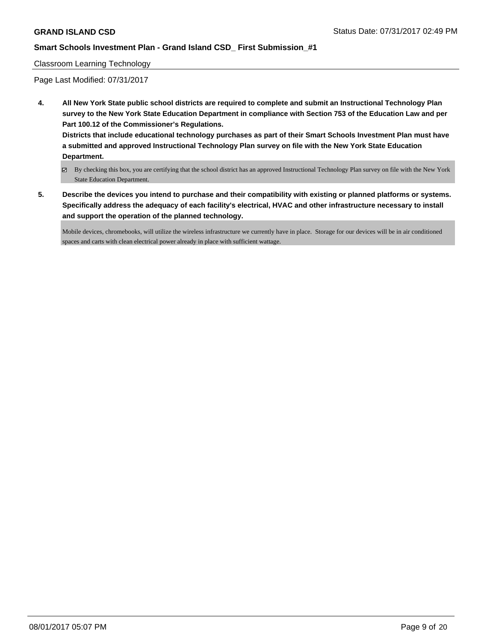### Classroom Learning Technology

Page Last Modified: 07/31/2017

**4. All New York State public school districts are required to complete and submit an Instructional Technology Plan survey to the New York State Education Department in compliance with Section 753 of the Education Law and per Part 100.12 of the Commissioner's Regulations. Districts that include educational technology purchases as part of their Smart Schools Investment Plan must have**

**a submitted and approved Instructional Technology Plan survey on file with the New York State Education Department.**

- By checking this box, you are certifying that the school district has an approved Instructional Technology Plan survey on file with the New York State Education Department.
- **5. Describe the devices you intend to purchase and their compatibility with existing or planned platforms or systems. Specifically address the adequacy of each facility's electrical, HVAC and other infrastructure necessary to install and support the operation of the planned technology.**

Mobile devices, chromebooks, will utilize the wireless infrastructure we currently have in place. Storage for our devices will be in air conditioned spaces and carts with clean electrical power already in place with sufficient wattage.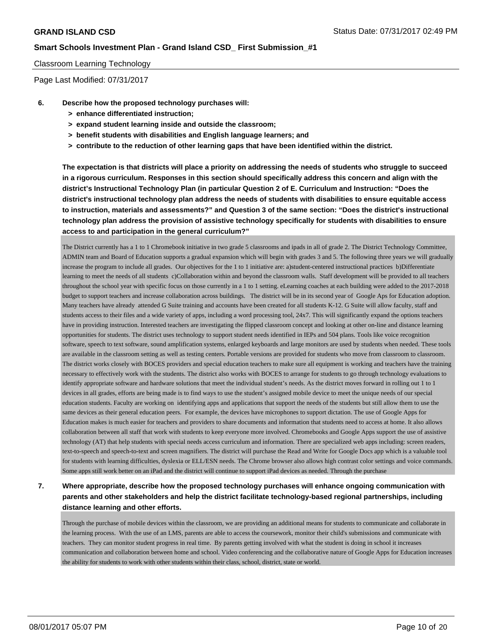### Classroom Learning Technology

Page Last Modified: 07/31/2017

- **6. Describe how the proposed technology purchases will:**
	- **> enhance differentiated instruction;**
	- **> expand student learning inside and outside the classroom;**
	- **> benefit students with disabilities and English language learners; and**
	- **> contribute to the reduction of other learning gaps that have been identified within the district.**

**The expectation is that districts will place a priority on addressing the needs of students who struggle to succeed in a rigorous curriculum. Responses in this section should specifically address this concern and align with the district's Instructional Technology Plan (in particular Question 2 of E. Curriculum and Instruction: "Does the district's instructional technology plan address the needs of students with disabilities to ensure equitable access to instruction, materials and assessments?" and Question 3 of the same section: "Does the district's instructional technology plan address the provision of assistive technology specifically for students with disabilities to ensure access to and participation in the general curriculum?"**

The District currently has a 1 to 1 Chromebook initiative in two grade 5 classrooms and ipads in all of grade 2. The District Technology Committee, ADMIN team and Board of Education supports a gradual expansion which will begin with grades 3 and 5. The following three years we will gradually increase the program to include all grades. Our objectives for the 1 to 1 initiative are: a)student-centered instructional practices b)Differentiate learning to meet the needs of all students c)Collaboration within and beyond the classroom walls. Staff development will be provided to all teachers throughout the school year with specific focus on those currently in a 1 to 1 setting. eLearning coaches at each building were added to the 2017-2018 budget to support teachers and increase collaboration across buildings. The district will be in its second year of Google Aps for Education adoption. Many teachers have already attended G Suite training and accounts have been created for all students K-12. G Suite will allow faculty, staff and students access to their files and a wide variety of apps, including a word processing tool, 24x7. This will significantly expand the options teachers have in providing instruction. Interested teachers are investigating the flipped classroom concept and looking at other on-line and distance learning opportunities for students. The district uses technology to support student needs identified in IEPs and 504 plans. Tools like voice recognition software, speech to text software, sound amplification systems, enlarged keyboards and large monitors are used by students when needed. These tools are available in the classroom setting as well as testing centers. Portable versions are provided for students who move from classroom to classroom. The district works closely with BOCES providers and special education teachers to make sure all equipment is working and teachers have the training necessary to effectively work with the students. The district also works with BOCES to arrange for students to go through technology evaluations to identify appropriate software and hardware solutions that meet the individual student's needs. As the district moves forward in rolling out 1 to 1 devices in all grades, efforts are being made is to find ways to use the student's assigned mobile device to meet the unique needs of our special education students. Faculty are working on identifying apps and applications that support the needs of the students but still allow them to use the same devices as their general education peers. For example, the devices have microphones to support dictation. The use of Google Apps for Education makes is much easier for teachers and providers to share documents and information that students need to access at home. It also allows collaboration between all staff that work with students to keep everyone more involved. Chromebooks and Google Apps support the use of assistive technology (AT) that help students with special needs access curriculum and information. There are specialized web apps including: screen readers, text-to-speech and speech-to-text and screen magnifiers. The district will purchase the Read and Write for Google Docs app which is a valuable tool for students with learning difficulties, dyslexia or ELL/ESN needs. The Chrome browser also allows high contrast color settings and voice commands. Some apps still work better on an iPad and the district will continue to support iPad devices as needed. Through the purchase

# **7. Where appropriate, describe how the proposed technology purchases will enhance ongoing communication with parents and other stakeholders and help the district facilitate technology-based regional partnerships, including distance learning and other efforts.**

Through the purchase of mobile devices within the classroom, we are providing an additional means for students to communicate and collaborate in the learning process. With the use of an LMS, parents are able to access the coursework, monitor their child's submissions and communicate with teachers. They can monitor student progress in real time. By parents getting involved with what the student is doing in school it increases communication and collaboration between home and school. Video conferencing and the collaborative nature of Google Apps for Education increases the ability for students to work with other students within their class, school, district, state or world.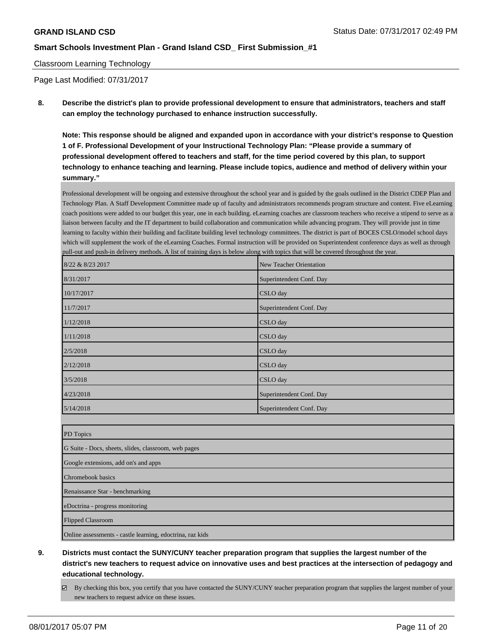#### Classroom Learning Technology

Page Last Modified: 07/31/2017

**8. Describe the district's plan to provide professional development to ensure that administrators, teachers and staff can employ the technology purchased to enhance instruction successfully.**

**Note: This response should be aligned and expanded upon in accordance with your district's response to Question 1 of F. Professional Development of your Instructional Technology Plan: "Please provide a summary of professional development offered to teachers and staff, for the time period covered by this plan, to support technology to enhance teaching and learning. Please include topics, audience and method of delivery within your summary."**

Professional development will be ongoing and extensive throughout the school year and is guided by the goals outlined in the District CDEP Plan and Technology Plan. A Staff Development Committee made up of faculty and administrators recommends program structure and content. Five eLearning coach positions were added to our budget this year, one in each building. eLearning coaches are classroom teachers who receive a stipend to serve as a liaison between faculty and the IT department to build collaboration and communication while advancing program. They will provide just in time learning to faculty within their building and facilitate building level technology committees. The district is part of BOCES CSLO/model school days which will supplement the work of the eLearning Coaches. Formal instruction will be provided on Superintendent conference days as well as through pull-out and push-in delivery methods. A list of training days is below along with topics that will be covered throughout the year.

| 8/22 & 8/23 2017 | New Teacher Orientation  |
|------------------|--------------------------|
| 8/31/2017        | Superintendent Conf. Day |
| 10/17/2017       | CSLO day                 |
| 11/7/2017        | Superintendent Conf. Day |
| 1/12/2018        | CSLO day                 |
| 1/11/2018        | CSLO day                 |
| 2/5/2018         | CSLO day                 |
| 2/12/2018        | CSLO day                 |
| 3/5/2018         | CSLO day                 |
| 4/23/2018        | Superintendent Conf. Day |
| 5/14/2018        | Superintendent Conf. Day |

| PD Topics                                                 |
|-----------------------------------------------------------|
| G Suite - Docs, sheets, slides, classroom, web pages      |
| Google extensions, add on's and apps                      |
| Chromebook basics                                         |
| Renaissance Star - benchmarking                           |
| eDoctrina - progress monitoring                           |
| <b>Flipped Classroom</b>                                  |
| Online assessments - castle learning, edoctrina, raz kids |

# **9. Districts must contact the SUNY/CUNY teacher preparation program that supplies the largest number of the district's new teachers to request advice on innovative uses and best practices at the intersection of pedagogy and educational technology.**

By checking this box, you certify that you have contacted the SUNY/CUNY teacher preparation program that supplies the largest number of your new teachers to request advice on these issues.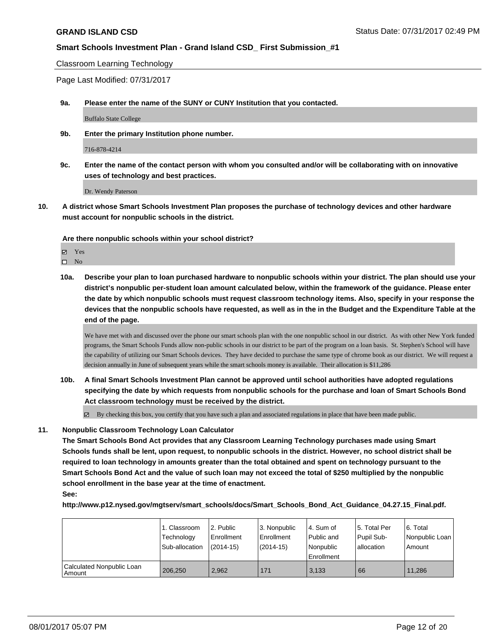Classroom Learning Technology

Page Last Modified: 07/31/2017

**9a. Please enter the name of the SUNY or CUNY Institution that you contacted.**

Buffalo State College

**9b. Enter the primary Institution phone number.**

716-878-4214

**9c. Enter the name of the contact person with whom you consulted and/or will be collaborating with on innovative uses of technology and best practices.**

Dr. Wendy Paterson

**10. A district whose Smart Schools Investment Plan proposes the purchase of technology devices and other hardware must account for nonpublic schools in the district.**

**Are there nonpublic schools within your school district?**

**Ø** Yes

- $\square$  No
- **10a. Describe your plan to loan purchased hardware to nonpublic schools within your district. The plan should use your district's nonpublic per-student loan amount calculated below, within the framework of the guidance. Please enter the date by which nonpublic schools must request classroom technology items. Also, specify in your response the devices that the nonpublic schools have requested, as well as in the in the Budget and the Expenditure Table at the end of the page.**

We have met with and discussed over the phone our smart schools plan with the one nonpublic school in our district. As with other New York funded programs, the Smart Schools Funds allow non-public schools in our district to be part of the program on a loan basis. St. Stephen's School will have the capability of utilizing our Smart Schools devices. They have decided to purchase the same type of chrome book as our district. We will request a decision annually in June of subsequent years while the smart schools money is available. Their allocation is \$11,286

**10b. A final Smart Schools Investment Plan cannot be approved until school authorities have adopted regulations specifying the date by which requests from nonpublic schools for the purchase and loan of Smart Schools Bond Act classroom technology must be received by the district.**

By checking this box, you certify that you have such a plan and associated regulations in place that have been made public.

**11. Nonpublic Classroom Technology Loan Calculator**

**The Smart Schools Bond Act provides that any Classroom Learning Technology purchases made using Smart Schools funds shall be lent, upon request, to nonpublic schools in the district. However, no school district shall be required to loan technology in amounts greater than the total obtained and spent on technology pursuant to the Smart Schools Bond Act and the value of such loan may not exceed the total of \$250 multiplied by the nonpublic school enrollment in the base year at the time of enactment.**

### **See:**

**http://www.p12.nysed.gov/mgtserv/smart\_schools/docs/Smart\_Schools\_Bond\_Act\_Guidance\_04.27.15\_Final.pdf.**

|                                       | 1. Classroom<br>Technology<br>Sub-allocation | 2. Public<br>Enrollment<br>$(2014-15)$ | l 3. Nonpublic<br>Enrollment<br>(2014-15) | l 4. Sum of<br>Public and<br>l Nonpublic | 15. Total Per<br>Pupil Sub-<br>allocation | l 6. Total<br>Nonpublic Loan<br>Amount |
|---------------------------------------|----------------------------------------------|----------------------------------------|-------------------------------------------|------------------------------------------|-------------------------------------------|----------------------------------------|
|                                       |                                              |                                        |                                           | Enrollment                               |                                           |                                        |
| Calculated Nonpublic Loan<br>  Amount | 206.250                                      | 2.962                                  | 171                                       | 3,133                                    | 66                                        | 11.286                                 |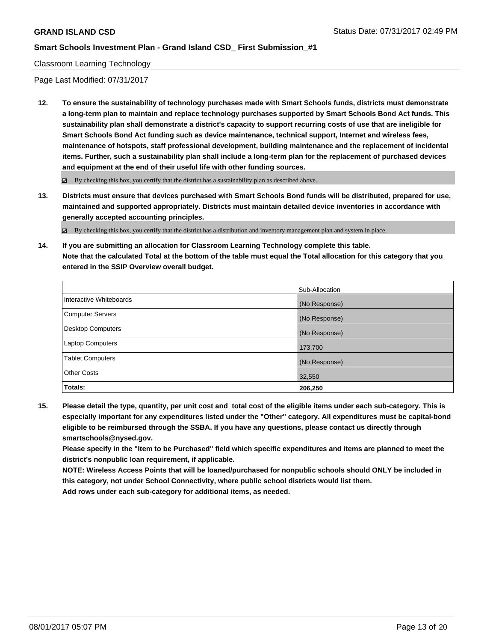#### Classroom Learning Technology

Page Last Modified: 07/31/2017

**12. To ensure the sustainability of technology purchases made with Smart Schools funds, districts must demonstrate a long-term plan to maintain and replace technology purchases supported by Smart Schools Bond Act funds. This sustainability plan shall demonstrate a district's capacity to support recurring costs of use that are ineligible for Smart Schools Bond Act funding such as device maintenance, technical support, Internet and wireless fees, maintenance of hotspots, staff professional development, building maintenance and the replacement of incidental items. Further, such a sustainability plan shall include a long-term plan for the replacement of purchased devices and equipment at the end of their useful life with other funding sources.**

 $\boxtimes$  By checking this box, you certify that the district has a sustainability plan as described above.

**13. Districts must ensure that devices purchased with Smart Schools Bond funds will be distributed, prepared for use, maintained and supported appropriately. Districts must maintain detailed device inventories in accordance with generally accepted accounting principles.**

By checking this box, you certify that the district has a distribution and inventory management plan and system in place.

**14. If you are submitting an allocation for Classroom Learning Technology complete this table. Note that the calculated Total at the bottom of the table must equal the Total allocation for this category that you entered in the SSIP Overview overall budget.**

|                          | Sub-Allocation |
|--------------------------|----------------|
| Interactive Whiteboards  | (No Response)  |
| Computer Servers         | (No Response)  |
| <b>Desktop Computers</b> | (No Response)  |
| Laptop Computers         | 173,700        |
| <b>Tablet Computers</b>  | (No Response)  |
| <b>Other Costs</b>       | 32,550         |
| Totals:                  | 206,250        |

**15. Please detail the type, quantity, per unit cost and total cost of the eligible items under each sub-category. This is especially important for any expenditures listed under the "Other" category. All expenditures must be capital-bond eligible to be reimbursed through the SSBA. If you have any questions, please contact us directly through smartschools@nysed.gov.**

**Please specify in the "Item to be Purchased" field which specific expenditures and items are planned to meet the district's nonpublic loan requirement, if applicable.**

**NOTE: Wireless Access Points that will be loaned/purchased for nonpublic schools should ONLY be included in this category, not under School Connectivity, where public school districts would list them.**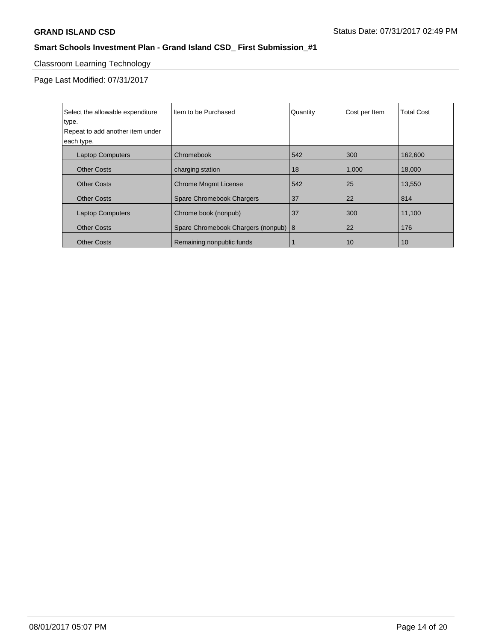# Classroom Learning Technology

Page Last Modified: 07/31/2017

| Select the allowable expenditure<br>type.<br>Repeat to add another item under<br>each type. | Iltem to be Purchased                  | Quantity | Cost per Item | <b>Total Cost</b> |
|---------------------------------------------------------------------------------------------|----------------------------------------|----------|---------------|-------------------|
| <b>Laptop Computers</b>                                                                     | Chromebook                             | 542      | 300           | 162,600           |
| <b>Other Costs</b>                                                                          | charging station                       | 18       | 1,000         | 18,000            |
| <b>Other Costs</b>                                                                          | <b>Chrome Mngmt License</b>            | 542      | 25            | 13,550            |
| <b>Other Costs</b>                                                                          | Spare Chromebook Chargers              | 37       | 22            | 814               |
| <b>Laptop Computers</b>                                                                     | Chrome book (nonpub)                   | 37       | 300           | 11,100            |
| <b>Other Costs</b>                                                                          | Spare Chromebook Chargers (nonpub)   8 |          | 22            | 176               |
| <b>Other Costs</b>                                                                          | Remaining nonpublic funds              |          | 10            | 10                |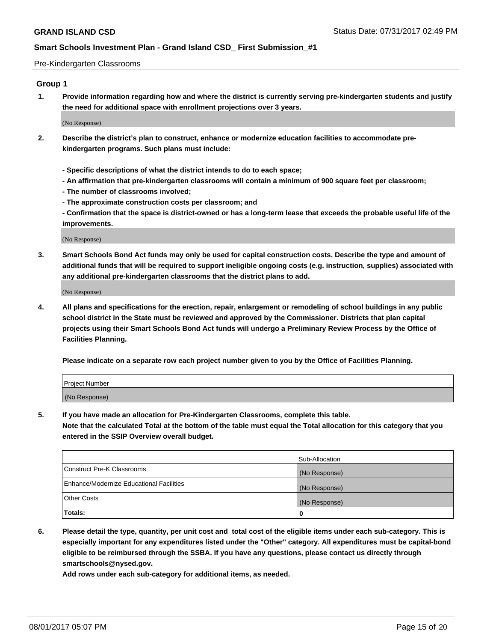Pre-Kindergarten Classrooms

### **Group 1**

**1. Provide information regarding how and where the district is currently serving pre-kindergarten students and justify the need for additional space with enrollment projections over 3 years.**

(No Response)

- **2. Describe the district's plan to construct, enhance or modernize education facilities to accommodate prekindergarten programs. Such plans must include:**
	- **Specific descriptions of what the district intends to do to each space;**
	- **An affirmation that pre-kindergarten classrooms will contain a minimum of 900 square feet per classroom;**
	- **The number of classrooms involved;**
	- **The approximate construction costs per classroom; and**

**- Confirmation that the space is district-owned or has a long-term lease that exceeds the probable useful life of the improvements.**

(No Response)

**3. Smart Schools Bond Act funds may only be used for capital construction costs. Describe the type and amount of additional funds that will be required to support ineligible ongoing costs (e.g. instruction, supplies) associated with any additional pre-kindergarten classrooms that the district plans to add.**

(No Response)

**4. All plans and specifications for the erection, repair, enlargement or remodeling of school buildings in any public school district in the State must be reviewed and approved by the Commissioner. Districts that plan capital projects using their Smart Schools Bond Act funds will undergo a Preliminary Review Process by the Office of Facilities Planning.**

**Please indicate on a separate row each project number given to you by the Office of Facilities Planning.**

| Project Number |  |
|----------------|--|
| (No Response)  |  |

**5. If you have made an allocation for Pre-Kindergarten Classrooms, complete this table.**

**Note that the calculated Total at the bottom of the table must equal the Total allocation for this category that you entered in the SSIP Overview overall budget.**

|                                          | Sub-Allocation |
|------------------------------------------|----------------|
| Construct Pre-K Classrooms               | (No Response)  |
| Enhance/Modernize Educational Facilities | (No Response)  |
| <b>Other Costs</b>                       | (No Response)  |
| Totals:                                  | $\mathbf{0}$   |

**6. Please detail the type, quantity, per unit cost and total cost of the eligible items under each sub-category. This is especially important for any expenditures listed under the "Other" category. All expenditures must be capital-bond eligible to be reimbursed through the SSBA. If you have any questions, please contact us directly through smartschools@nysed.gov.**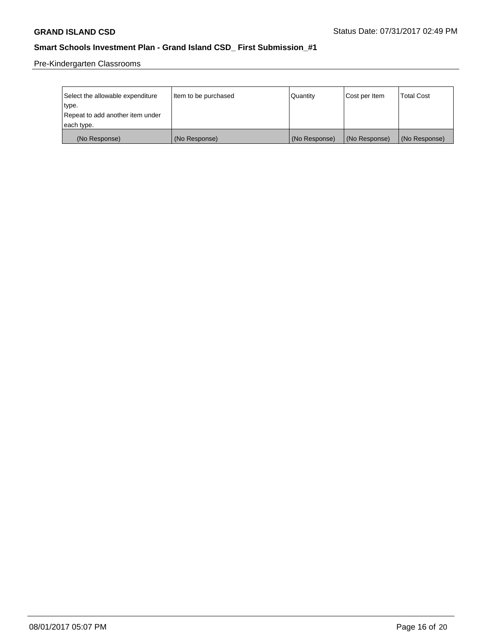Pre-Kindergarten Classrooms

| Select the allowable expenditure | Item to be purchased | Quantity      | Cost per Item | <b>Total Cost</b> |
|----------------------------------|----------------------|---------------|---------------|-------------------|
| type.                            |                      |               |               |                   |
| Repeat to add another item under |                      |               |               |                   |
| each type.                       |                      |               |               |                   |
| (No Response)                    | (No Response)        | (No Response) | (No Response) | (No Response)     |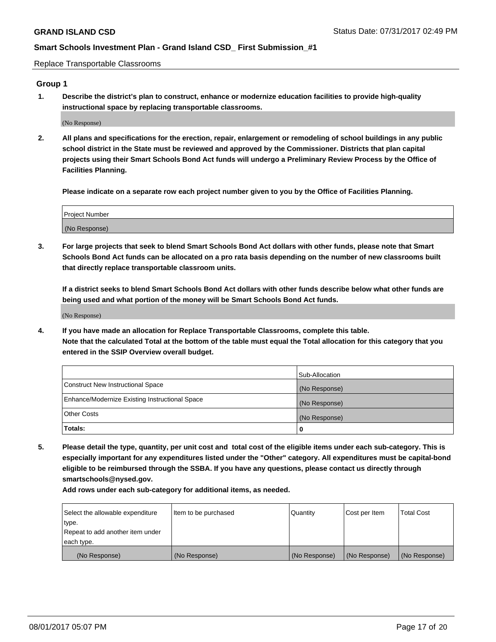Replace Transportable Classrooms

### **Group 1**

**1. Describe the district's plan to construct, enhance or modernize education facilities to provide high-quality instructional space by replacing transportable classrooms.**

(No Response)

**2. All plans and specifications for the erection, repair, enlargement or remodeling of school buildings in any public school district in the State must be reviewed and approved by the Commissioner. Districts that plan capital projects using their Smart Schools Bond Act funds will undergo a Preliminary Review Process by the Office of Facilities Planning.**

**Please indicate on a separate row each project number given to you by the Office of Facilities Planning.**

| Project Number |  |
|----------------|--|
| (No Response)  |  |

**3. For large projects that seek to blend Smart Schools Bond Act dollars with other funds, please note that Smart Schools Bond Act funds can be allocated on a pro rata basis depending on the number of new classrooms built that directly replace transportable classroom units.**

**If a district seeks to blend Smart Schools Bond Act dollars with other funds describe below what other funds are being used and what portion of the money will be Smart Schools Bond Act funds.**

(No Response)

**4. If you have made an allocation for Replace Transportable Classrooms, complete this table. Note that the calculated Total at the bottom of the table must equal the Total allocation for this category that you entered in the SSIP Overview overall budget.**

|                                                | Sub-Allocation |
|------------------------------------------------|----------------|
| Construct New Instructional Space              | (No Response)  |
| Enhance/Modernize Existing Instructional Space | (No Response)  |
| Other Costs                                    | (No Response)  |
| Totals:                                        | 0              |

**5. Please detail the type, quantity, per unit cost and total cost of the eligible items under each sub-category. This is especially important for any expenditures listed under the "Other" category. All expenditures must be capital-bond eligible to be reimbursed through the SSBA. If you have any questions, please contact us directly through smartschools@nysed.gov.**

| Select the allowable expenditure | Item to be purchased | Quantity      | Cost per Item | <b>Total Cost</b> |
|----------------------------------|----------------------|---------------|---------------|-------------------|
| type.                            |                      |               |               |                   |
| Repeat to add another item under |                      |               |               |                   |
| each type.                       |                      |               |               |                   |
| (No Response)                    | (No Response)        | (No Response) | (No Response) | (No Response)     |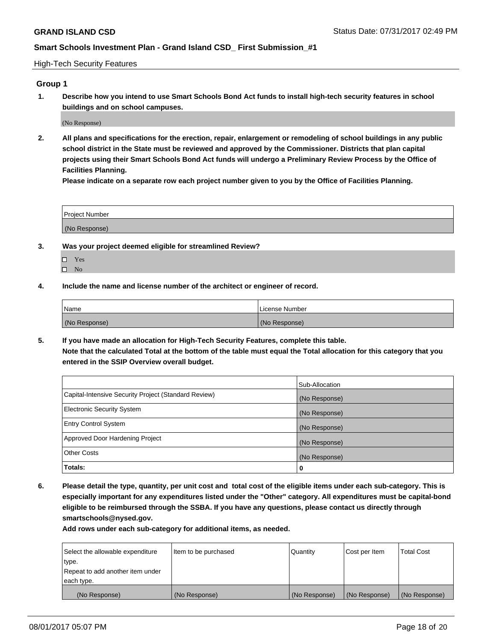High-Tech Security Features

### **Group 1**

**1. Describe how you intend to use Smart Schools Bond Act funds to install high-tech security features in school buildings and on school campuses.**

(No Response)

**2. All plans and specifications for the erection, repair, enlargement or remodeling of school buildings in any public school district in the State must be reviewed and approved by the Commissioner. Districts that plan capital projects using their Smart Schools Bond Act funds will undergo a Preliminary Review Process by the Office of Facilities Planning.** 

**Please indicate on a separate row each project number given to you by the Office of Facilities Planning.**

| <b>Project Number</b> |  |
|-----------------------|--|
| (No Response)         |  |

- **3. Was your project deemed eligible for streamlined Review?**
	- Yes  $\square$  No
- **4. Include the name and license number of the architect or engineer of record.**

| <b>Name</b>   | License Number |
|---------------|----------------|
| (No Response) | (No Response)  |

**5. If you have made an allocation for High-Tech Security Features, complete this table. Note that the calculated Total at the bottom of the table must equal the Total allocation for this category that you entered in the SSIP Overview overall budget.**

|                                                      | Sub-Allocation |
|------------------------------------------------------|----------------|
| Capital-Intensive Security Project (Standard Review) | (No Response)  |
| <b>Electronic Security System</b>                    | (No Response)  |
| <b>Entry Control System</b>                          | (No Response)  |
| Approved Door Hardening Project                      | (No Response)  |
| <b>Other Costs</b>                                   | (No Response)  |
| Totals:                                              | 0              |

**6. Please detail the type, quantity, per unit cost and total cost of the eligible items under each sub-category. This is especially important for any expenditures listed under the "Other" category. All expenditures must be capital-bond eligible to be reimbursed through the SSBA. If you have any questions, please contact us directly through smartschools@nysed.gov.**

| Select the allowable expenditure | Item to be purchased | Quantity      | Cost per Item | <b>Total Cost</b> |
|----------------------------------|----------------------|---------------|---------------|-------------------|
| type.                            |                      |               |               |                   |
| Repeat to add another item under |                      |               |               |                   |
| each type.                       |                      |               |               |                   |
| (No Response)                    | (No Response)        | (No Response) | (No Response) | (No Response)     |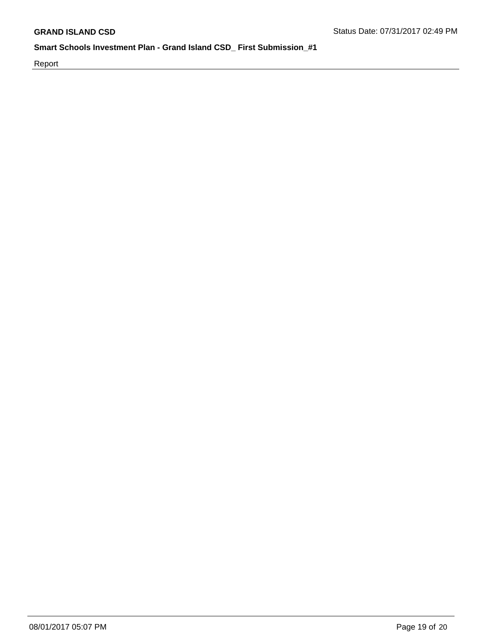Report